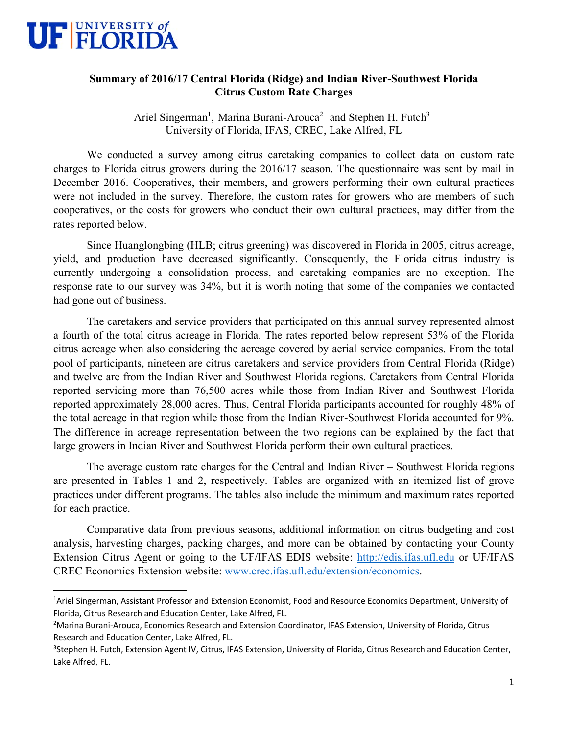

## **Summary of 2016/17 Central Florida (Ridge) and Indian River-Southwest Florida Citrus Custom Rate Charges**

Ariel Singerman<sup>1</sup>, Marina Burani-Arouca<sup>2</sup> and Stephen H. Futch<sup>3</sup> University of Florida, IFAS, CREC, Lake Alfred, FL

We conducted a survey among citrus caretaking companies to collect data on custom rate charges to Florida citrus growers during the 2016/17 season. The questionnaire was sent by mail in December 2016. Cooperatives, their members, and growers performing their own cultural practices were not included in the survey. Therefore, the custom rates for growers who are members of such cooperatives, or the costs for growers who conduct their own cultural practices, may differ from the rates reported below.

Since Huanglongbing (HLB; citrus greening) was discovered in Florida in 2005, citrus acreage, yield, and production have decreased significantly. Consequently, the Florida citrus industry is currently undergoing a consolidation process, and caretaking companies are no exception. The response rate to our survey was 34%, but it is worth noting that some of the companies we contacted had gone out of business.

The caretakers and service providers that participated on this annual survey represented almost a fourth of the total citrus acreage in Florida. The rates reported below represent 53% of the Florida citrus acreage when also considering the acreage covered by aerial service companies. From the total pool of participants, nineteen are citrus caretakers and service providers from Central Florida (Ridge) and twelve are from the Indian River and Southwest Florida regions. Caretakers from Central Florida reported servicing more than 76,500 acres while those from Indian River and Southwest Florida reported approximately 28,000 acres. Thus, Central Florida participants accounted for roughly 48% of the total acreage in that region while those from the Indian River-Southwest Florida accounted for 9%. The difference in acreage representation between the two regions can be explained by the fact that large growers in Indian River and Southwest Florida perform their own cultural practices.

The average custom rate charges for the Central and Indian River – Southwest Florida regions are presented in Tables 1 and 2, respectively. Tables are organized with an itemized list of grove practices under different programs. The tables also include the minimum and maximum rates reported for each practice.

Comparative data from previous seasons, additional information on citrus budgeting and cost analysis, harvesting charges, packing charges, and more can be obtained by contacting your County Extension Citrus Agent or going to the UF/IFAS EDIS website: http://edis.ifas.ufl.edu or UF/IFAS CREC Economics Extension website: www.crec.ifas.ufl.edu/extension/economics.

<sup>&</sup>lt;sup>1</sup>Ariel Singerman, Assistant Professor and Extension Economist, Food and Resource Economics Department, University of Florida, Citrus Research and Education Center, Lake Alfred, FL.

<sup>2</sup> Marina Burani‐Arouca, Economics Research and Extension Coordinator, IFAS Extension, University of Florida, Citrus Research and Education Center, Lake Alfred, FL.

<sup>&</sup>lt;sup>3</sup>Stephen H. Futch, Extension Agent IV, Citrus, IFAS Extension, University of Florida, Citrus Research and Education Center, Lake Alfred, FL.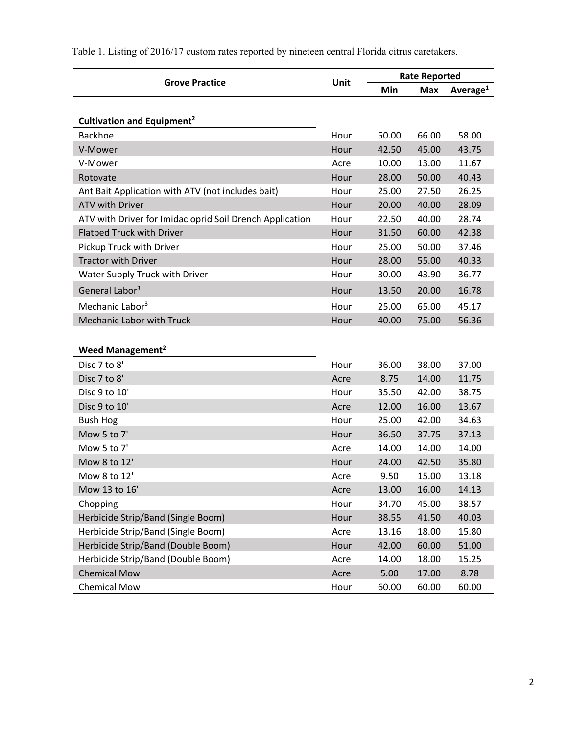| Unit<br><b>Grove Practice</b>                            |      | <b>Rate Reported</b> |            |                      |
|----------------------------------------------------------|------|----------------------|------------|----------------------|
|                                                          |      | Min                  | <b>Max</b> | Average <sup>1</sup> |
|                                                          |      |                      |            |                      |
| Cultivation and Equipment <sup>2</sup>                   |      |                      |            |                      |
| Backhoe                                                  | Hour | 50.00                | 66.00      | 58.00                |
| V-Mower                                                  | Hour | 42.50                | 45.00      | 43.75                |
| V-Mower                                                  | Acre | 10.00                | 13.00      | 11.67                |
| Rotovate                                                 | Hour | 28.00                | 50.00      | 40.43                |
| Ant Bait Application with ATV (not includes bait)        | Hour | 25.00                | 27.50      | 26.25                |
| <b>ATV with Driver</b>                                   | Hour | 20.00                | 40.00      | 28.09                |
| ATV with Driver for Imidacloprid Soil Drench Application | Hour | 22.50                | 40.00      | 28.74                |
| <b>Flatbed Truck with Driver</b>                         | Hour | 31.50                | 60.00      | 42.38                |
| Pickup Truck with Driver                                 | Hour | 25.00                | 50.00      | 37.46                |
| <b>Tractor with Driver</b>                               | Hour | 28.00                | 55.00      | 40.33                |
| Water Supply Truck with Driver                           | Hour | 30.00                | 43.90      | 36.77                |
| General Labor <sup>3</sup>                               | Hour | 13.50                | 20.00      | 16.78                |
| Mechanic Labor <sup>3</sup>                              | Hour | 25.00                | 65.00      | 45.17                |
| <b>Mechanic Labor with Truck</b>                         | Hour | 40.00                | 75.00      | 56.36                |
|                                                          |      |                      |            |                      |
| Weed Management <sup>2</sup>                             |      |                      |            |                      |
| Disc 7 to 8'                                             | Hour | 36.00                | 38.00      | 37.00                |
| Disc 7 to 8'                                             | Acre | 8.75                 | 14.00      | 11.75                |
| Disc 9 to 10'                                            | Hour | 35.50                | 42.00      | 38.75                |
| Disc 9 to 10'                                            | Acre | 12.00                | 16.00      | 13.67                |
| <b>Bush Hog</b>                                          | Hour | 25.00                | 42.00      | 34.63                |
| Mow 5 to 7'                                              | Hour | 36.50                | 37.75      | 37.13                |
| Mow 5 to 7'                                              | Acre | 14.00                | 14.00      | 14.00                |
| Mow 8 to 12'                                             | Hour | 24.00                | 42.50      | 35.80                |
| Mow 8 to 12'                                             | Acre | 9.50                 | 15.00      | 13.18                |
| Mow 13 to 16'                                            | Acre | 13.00                | 16.00      | 14.13                |
| Chopping                                                 | Hour | 34.70                | 45.00      | 38.57                |
| Herbicide Strip/Band (Single Boom)                       | Hour | 38.55                | 41.50      | 40.03                |
| Herbicide Strip/Band (Single Boom)                       | Acre | 13.16                | 18.00      | 15.80                |
| Herbicide Strip/Band (Double Boom)                       | Hour | 42.00                | 60.00      | 51.00                |
| Herbicide Strip/Band (Double Boom)                       | Acre | 14.00                | 18.00      | 15.25                |
| <b>Chemical Mow</b>                                      | Acre | 5.00                 | 17.00      | 8.78                 |
| <b>Chemical Mow</b>                                      | Hour | 60.00                | 60.00      | 60.00                |

Table 1. Listing of 2016/17 custom rates reported by nineteen central Florida citrus caretakers.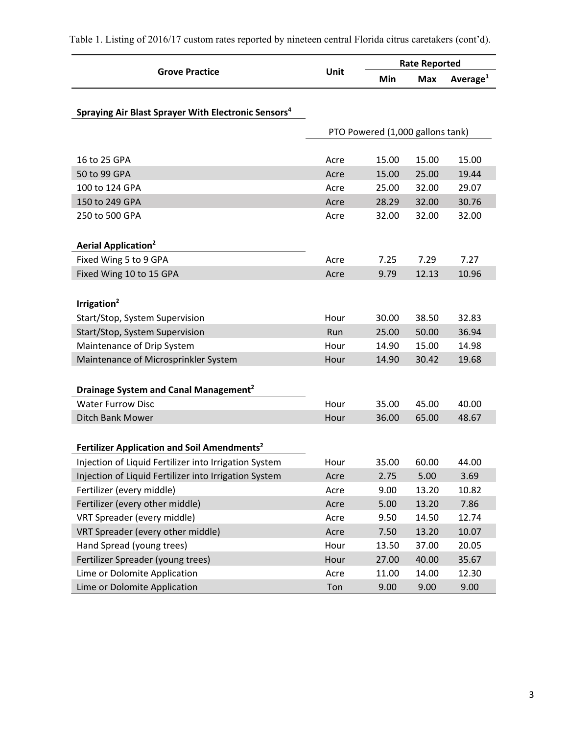|                                                                 |      | <b>Rate Reported</b>             |            |             |  |
|-----------------------------------------------------------------|------|----------------------------------|------------|-------------|--|
| <b>Grove Practice</b>                                           | Unit | Min                              | <b>Max</b> | Average $1$ |  |
| Spraying Air Blast Sprayer With Electronic Sensors <sup>4</sup> |      |                                  |            |             |  |
|                                                                 |      | PTO Powered (1,000 gallons tank) |            |             |  |
|                                                                 |      |                                  |            |             |  |
| 16 to 25 GPA                                                    | Acre | 15.00                            | 15.00      | 15.00       |  |
| 50 to 99 GPA                                                    | Acre | 15.00                            | 25.00      | 19.44       |  |
| 100 to 124 GPA                                                  | Acre | 25.00                            | 32.00      | 29.07       |  |
| 150 to 249 GPA                                                  | Acre | 28.29                            | 32.00      | 30.76       |  |
| 250 to 500 GPA                                                  | Acre | 32.00                            | 32.00      | 32.00       |  |
|                                                                 |      |                                  |            |             |  |
| <b>Aerial Application<sup>2</sup></b>                           |      |                                  |            |             |  |
| Fixed Wing 5 to 9 GPA                                           | Acre | 7.25                             | 7.29       | 7.27        |  |
| Fixed Wing 10 to 15 GPA                                         | Acre | 9.79                             | 12.13      | 10.96       |  |
|                                                                 |      |                                  |            |             |  |
| Irrigation <sup>2</sup>                                         |      |                                  |            |             |  |
| Start/Stop, System Supervision                                  | Hour | 30.00                            | 38.50      | 32.83       |  |
| Start/Stop, System Supervision                                  | Run  | 25.00                            | 50.00      | 36.94       |  |
| Maintenance of Drip System                                      | Hour | 14.90                            | 15.00      | 14.98       |  |
| Maintenance of Microsprinkler System                            | Hour | 14.90                            | 30.42      | 19.68       |  |
|                                                                 |      |                                  |            |             |  |
| Drainage System and Canal Management <sup>2</sup>               |      |                                  |            |             |  |
| <b>Water Furrow Disc</b>                                        | Hour | 35.00                            | 45.00      | 40.00       |  |
| Ditch Bank Mower                                                | Hour | 36.00                            | 65.00      | 48.67       |  |
|                                                                 |      |                                  |            |             |  |
| Fertilizer Application and Soil Amendments <sup>2</sup>         |      |                                  |            |             |  |
| Injection of Liquid Fertilizer into Irrigation System           | Hour | 35.00                            | 60.00      | 44.00       |  |
| Injection of Liquid Fertilizer into Irrigation System           | Acre | 2.75                             | 5.00       | 3.69        |  |
| Fertilizer (every middle)                                       | Acre | 9.00                             | 13.20      | 10.82       |  |
| Fertilizer (every other middle)                                 | Acre | 5.00                             | 13.20      | 7.86        |  |
| VRT Spreader (every middle)                                     | Acre | 9.50                             | 14.50      | 12.74       |  |
| VRT Spreader (every other middle)                               | Acre | 7.50                             | 13.20      | 10.07       |  |
| Hand Spread (young trees)                                       | Hour | 13.50                            | 37.00      | 20.05       |  |
| Fertilizer Spreader (young trees)                               | Hour | 27.00                            | 40.00      | 35.67       |  |
| Lime or Dolomite Application                                    | Acre | 11.00                            | 14.00      | 12.30       |  |
| Lime or Dolomite Application                                    | Ton  | 9.00                             | 9.00       | 9.00        |  |

Table 1. Listing of 2016/17 custom rates reported by nineteen central Florida citrus caretakers (cont'd).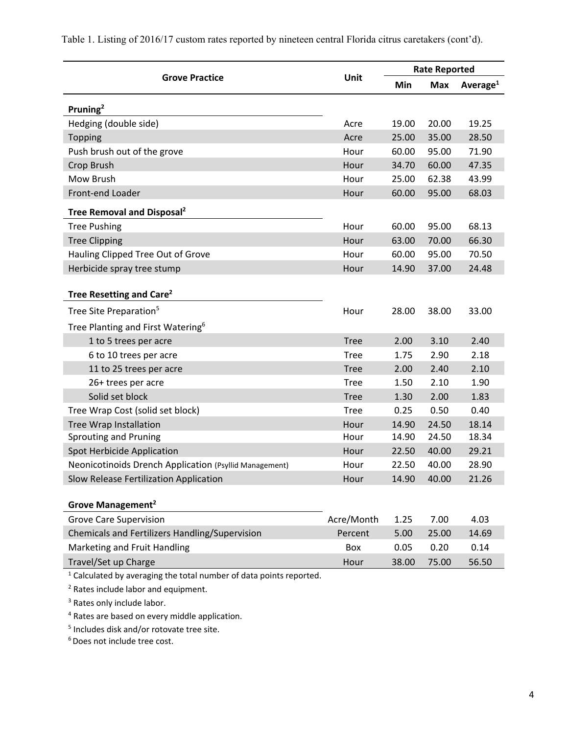|                                                                                | Unit        | <b>Rate Reported</b> |            |             |
|--------------------------------------------------------------------------------|-------------|----------------------|------------|-------------|
| <b>Grove Practice</b>                                                          |             | Min                  | <b>Max</b> | Average $1$ |
| Pruning <sup>2</sup>                                                           |             |                      |            |             |
| Hedging (double side)                                                          | Acre        | 19.00                | 20.00      | 19.25       |
| <b>Topping</b>                                                                 | Acre        | 25.00                | 35.00      | 28.50       |
| Push brush out of the grove                                                    | Hour        | 60.00                | 95.00      | 71.90       |
| Crop Brush                                                                     | Hour        | 34.70                | 60.00      | 47.35       |
| Mow Brush                                                                      | Hour        | 25.00                | 62.38      | 43.99       |
| Front-end Loader                                                               | Hour        | 60.00                | 95.00      | 68.03       |
| Tree Removal and Disposal <sup>2</sup>                                         |             |                      |            |             |
| <b>Tree Pushing</b>                                                            | Hour        | 60.00                | 95.00      | 68.13       |
| <b>Tree Clipping</b>                                                           | Hour        | 63.00                | 70.00      | 66.30       |
| Hauling Clipped Tree Out of Grove                                              | Hour        | 60.00                | 95.00      | 70.50       |
| Herbicide spray tree stump                                                     | Hour        | 14.90                | 37.00      | 24.48       |
| Tree Resetting and Care <sup>2</sup>                                           |             |                      |            |             |
| Tree Site Preparation <sup>5</sup>                                             | Hour        | 28.00                | 38.00      | 33.00       |
| Tree Planting and First Watering <sup>6</sup>                                  |             |                      |            |             |
| 1 to 5 trees per acre                                                          | <b>Tree</b> | 2.00                 | 3.10       | 2.40        |
| 6 to 10 trees per acre                                                         | <b>Tree</b> | 1.75                 | 2.90       | 2.18        |
| 11 to 25 trees per acre                                                        | <b>Tree</b> | 2.00                 | 2.40       | 2.10        |
| 26+ trees per acre                                                             | <b>Tree</b> | 1.50                 | 2.10       | 1.90        |
| Solid set block                                                                | <b>Tree</b> | 1.30                 | 2.00       | 1.83        |
| Tree Wrap Cost (solid set block)                                               | <b>Tree</b> | 0.25                 | 0.50       | 0.40        |
| Tree Wrap Installation                                                         | Hour        | 14.90                | 24.50      | 18.14       |
| <b>Sprouting and Pruning</b>                                                   | Hour        | 14.90                | 24.50      | 18.34       |
| Spot Herbicide Application                                                     | Hour        | 22.50                | 40.00      | 29.21       |
| Neonicotinoids Drench Application (Psyllid Management)                         | Hour        | 22.50                | 40.00      | 28.90       |
| Slow Release Fertilization Application                                         | Hour        | 14.90                | 40.00      | 21.26       |
| Grove Management <sup>2</sup>                                                  |             |                      |            |             |
| <b>Grove Care Supervision</b>                                                  | Acre/Month  | 1.25                 | 7.00       | 4.03        |
| Chemicals and Fertilizers Handling/Supervision                                 | Percent     | 5.00                 | 25.00      | 14.69       |
| Marketing and Fruit Handling                                                   | Box         | 0.05                 | 0.20       | 0.14        |
| Travel/Set up Charge                                                           | Hour        | 38.00                | 75.00      | 56.50       |
| <sup>1</sup> Calculated by averaging the total number of data points reported. |             |                      |            |             |

Table 1. Listing of 2016/17 custom rates reported by nineteen central Florida citrus caretakers (cont'd).

<sup>2</sup> Rates include labor and equipment.

<sup>3</sup> Rates only include labor.

4 Rates are based on every middle application.

5 Includes disk and/or rotovate tree site.

6 Does not include tree cost.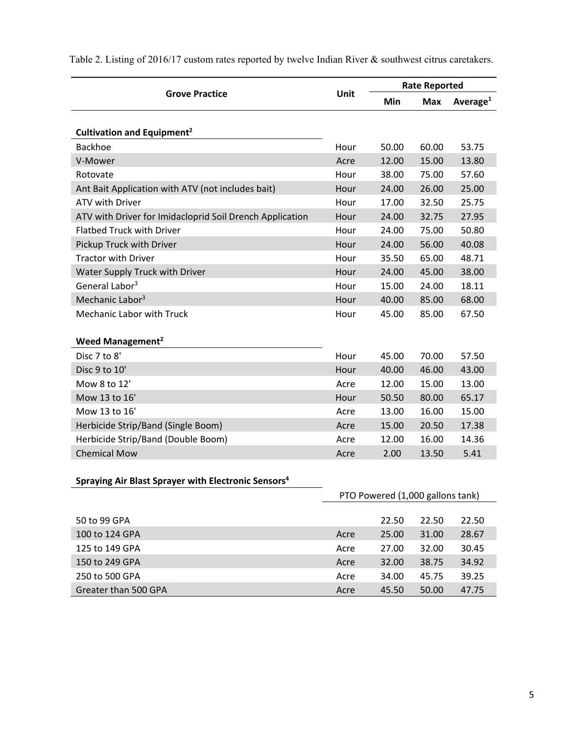|                                                                 | Unit                             | <b>Rate Reported</b> |       |             |
|-----------------------------------------------------------------|----------------------------------|----------------------|-------|-------------|
| <b>Grove Practice</b>                                           |                                  | Min                  | Max   | Average $1$ |
|                                                                 |                                  |                      |       |             |
| Cultivation and Equipment <sup>2</sup>                          |                                  |                      |       |             |
| Backhoe                                                         | Hour                             | 50.00                | 60.00 | 53.75       |
| V-Mower                                                         | Acre                             | 12.00                | 15.00 | 13.80       |
| Rotovate                                                        | Hour                             | 38.00                | 75.00 | 57.60       |
| Ant Bait Application with ATV (not includes bait)               | Hour                             | 24.00                | 26.00 | 25.00       |
| ATV with Driver                                                 | Hour                             | 17.00                | 32.50 | 25.75       |
| ATV with Driver for Imidacloprid Soil Drench Application        | Hour                             | 24.00                | 32.75 | 27.95       |
| <b>Flatbed Truck with Driver</b>                                | Hour                             | 24.00                | 75.00 | 50.80       |
| Pickup Truck with Driver                                        | Hour                             | 24.00                | 56.00 | 40.08       |
| <b>Tractor with Driver</b>                                      | Hour                             | 35.50                | 65.00 | 48.71       |
| Water Supply Truck with Driver                                  | Hour                             | 24.00                | 45.00 | 38.00       |
| General Labor <sup>3</sup>                                      | Hour                             | 15.00                | 24.00 | 18.11       |
| Mechanic Labor <sup>3</sup>                                     | Hour                             | 40.00                | 85.00 | 68.00       |
| Mechanic Labor with Truck                                       | Hour                             | 45.00                | 85.00 | 67.50       |
|                                                                 |                                  |                      |       |             |
| Weed Management <sup>2</sup>                                    |                                  |                      |       |             |
| Disc 7 to 8'                                                    | Hour                             | 45.00                | 70.00 | 57.50       |
| Disc 9 to 10'                                                   | Hour                             | 40.00                | 46.00 | 43.00       |
| Mow 8 to 12'                                                    | Acre                             | 12.00                | 15.00 | 13.00       |
| Mow 13 to 16'                                                   | Hour                             | 50.50                | 80.00 | 65.17       |
| Mow 13 to 16'                                                   | Acre                             | 13.00                | 16.00 | 15.00       |
| Herbicide Strip/Band (Single Boom)                              | Acre                             | 15.00                | 20.50 | 17.38       |
| Herbicide Strip/Band (Double Boom)                              | Acre                             | 12.00                | 16.00 | 14.36       |
| <b>Chemical Mow</b>                                             | Acre                             | 2.00                 | 13.50 | 5.41        |
|                                                                 |                                  |                      |       |             |
| Spraying Air Blast Sprayer with Electronic Sensors <sup>4</sup> |                                  |                      |       |             |
|                                                                 | PTO Powered (1,000 gallons tank) |                      |       |             |
| 50 to 99 GPA                                                    |                                  | 22.50                | 22.50 | 22.50       |
| 100 to 124 GPA                                                  | Acre                             | 25.00                | 31.00 | 28.67       |
| 125 to 149 GPA                                                  | Acre                             | 27.00                | 32.00 | 30.45       |

150 to 249 GPA Acre 32.00 38.75 34.92 250 to 500 GPA Acre 34.00 45.75 39.25 Greater than 500 GPA Acre 45.50 50.00 47.75

Table 2. Listing of 2016/17 custom rates reported by twelve Indian River & southwest citrus caretakers.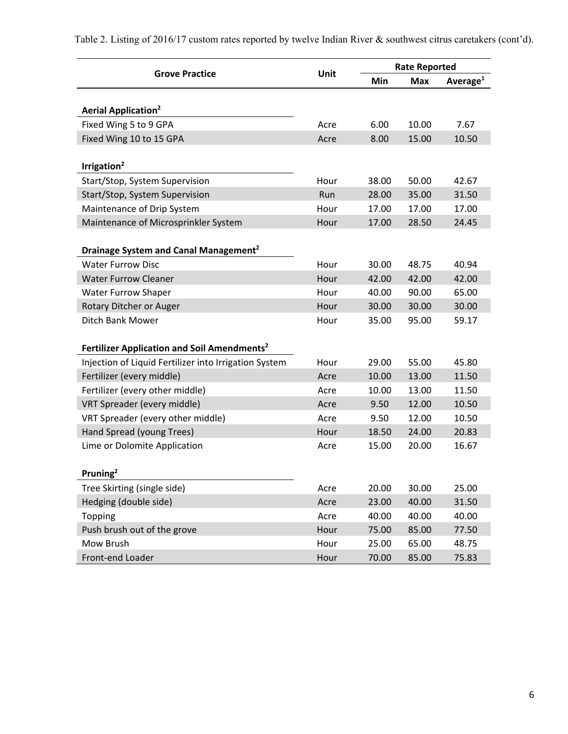Table 2. Listing of 2016/17 custom rates reported by twelve Indian River & southwest citrus caretakers (cont'd).

|                                                         | <b>Unit</b> |       | <b>Rate Reported</b> |                      |  |  |
|---------------------------------------------------------|-------------|-------|----------------------|----------------------|--|--|
| <b>Grove Practice</b>                                   |             | Min   | <b>Max</b>           | Average <sup>1</sup> |  |  |
|                                                         |             |       |                      |                      |  |  |
| <b>Aerial Application<sup>2</sup></b>                   |             |       |                      |                      |  |  |
| Fixed Wing 5 to 9 GPA                                   | Acre        | 6.00  | 10.00                | 7.67                 |  |  |
| Fixed Wing 10 to 15 GPA                                 | Acre        | 8.00  | 15.00                | 10.50                |  |  |
|                                                         |             |       |                      |                      |  |  |
| Irrigation <sup>2</sup>                                 |             |       |                      |                      |  |  |
| Start/Stop, System Supervision                          | Hour        | 38.00 | 50.00                | 42.67                |  |  |
| Start/Stop, System Supervision                          | Run         | 28.00 | 35.00                | 31.50                |  |  |
| Maintenance of Drip System                              | Hour        | 17.00 | 17.00                | 17.00                |  |  |
| Maintenance of Microsprinkler System                    | Hour        | 17.00 | 28.50                | 24.45                |  |  |
|                                                         |             |       |                      |                      |  |  |
| Drainage System and Canal Management <sup>2</sup>       |             |       |                      |                      |  |  |
| <b>Water Furrow Disc</b>                                | Hour        | 30.00 | 48.75                | 40.94                |  |  |
| <b>Water Furrow Cleaner</b>                             | Hour        | 42.00 | 42.00                | 42.00                |  |  |
| <b>Water Furrow Shaper</b>                              | Hour        | 40.00 | 90.00                | 65.00                |  |  |
| Rotary Ditcher or Auger                                 | Hour        | 30.00 | 30.00                | 30.00                |  |  |
| <b>Ditch Bank Mower</b>                                 | Hour        | 35.00 | 95.00                | 59.17                |  |  |
|                                                         |             |       |                      |                      |  |  |
| Fertilizer Application and Soil Amendments <sup>2</sup> |             |       |                      |                      |  |  |
| Injection of Liquid Fertilizer into Irrigation System   | Hour        | 29.00 | 55.00                | 45.80                |  |  |
| Fertilizer (every middle)                               | Acre        | 10.00 | 13.00                | 11.50                |  |  |
| Fertilizer (every other middle)                         | Acre        | 10.00 | 13.00                | 11.50                |  |  |
| VRT Spreader (every middle)                             | Acre        | 9.50  | 12.00                | 10.50                |  |  |
| VRT Spreader (every other middle)                       | Acre        | 9.50  | 12.00                | 10.50                |  |  |
| Hand Spread (young Trees)                               | Hour        | 18.50 | 24.00                | 20.83                |  |  |
| Lime or Dolomite Application                            | Acre        | 15.00 | 20.00                | 16.67                |  |  |
|                                                         |             |       |                      |                      |  |  |
| Pruning <sup>2</sup>                                    |             |       |                      |                      |  |  |
| Tree Skirting (single side)                             | Acre        | 20.00 | 30.00                | 25.00                |  |  |
| Hedging (double side)                                   | Acre        | 23.00 | 40.00                | 31.50                |  |  |
| <b>Topping</b>                                          | Acre        | 40.00 | 40.00                | 40.00                |  |  |
| Push brush out of the grove                             | Hour        | 75.00 | 85.00                | 77.50                |  |  |
| Mow Brush                                               | Hour        | 25.00 | 65.00                | 48.75                |  |  |
| Front-end Loader                                        | Hour        | 70.00 | 85.00                | 75.83                |  |  |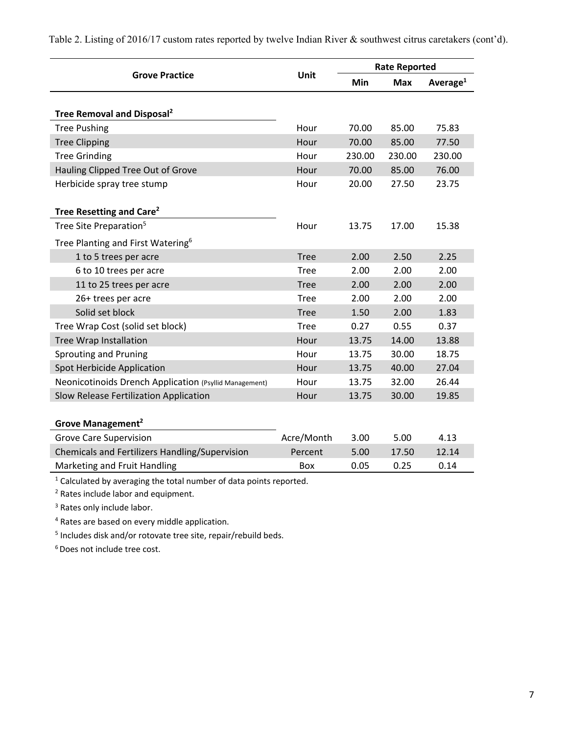Table 2. Listing of 2016/17 custom rates reported by twelve Indian River & southwest citrus caretakers (cont'd).

|                                                                                |             | <b>Rate Reported</b> |            |                      |
|--------------------------------------------------------------------------------|-------------|----------------------|------------|----------------------|
| <b>Grove Practice</b>                                                          | Unit        | Min                  | <b>Max</b> | Average <sup>1</sup> |
|                                                                                |             |                      |            |                      |
| Tree Removal and Disposal <sup>2</sup>                                         |             |                      |            |                      |
| <b>Tree Pushing</b>                                                            | Hour        | 70.00                | 85.00      | 75.83                |
| <b>Tree Clipping</b>                                                           | Hour        | 70.00                | 85.00      | 77.50                |
| <b>Tree Grinding</b>                                                           | Hour        | 230.00               | 230.00     | 230.00               |
| Hauling Clipped Tree Out of Grove                                              | Hour        | 70.00                | 85.00      | 76.00                |
| Herbicide spray tree stump                                                     | Hour        | 20.00                | 27.50      | 23.75                |
|                                                                                |             |                      |            |                      |
| Tree Resetting and Care <sup>2</sup>                                           |             |                      |            |                      |
| Tree Site Preparation <sup>5</sup>                                             | Hour        | 13.75                | 17.00      | 15.38                |
| Tree Planting and First Watering <sup>6</sup>                                  |             |                      |            |                      |
| 1 to 5 trees per acre                                                          | <b>Tree</b> | 2.00                 | 2.50       | 2.25                 |
| 6 to 10 trees per acre                                                         | <b>Tree</b> | 2.00                 | 2.00       | 2.00                 |
| 11 to 25 trees per acre                                                        | <b>Tree</b> | 2.00                 | 2.00       | 2.00                 |
| 26+ trees per acre                                                             | Tree        | 2.00                 | 2.00       | 2.00                 |
| Solid set block                                                                | <b>Tree</b> | 1.50                 | 2.00       | 1.83                 |
| Tree Wrap Cost (solid set block)                                               | <b>Tree</b> | 0.27                 | 0.55       | 0.37                 |
| <b>Tree Wrap Installation</b>                                                  | Hour        | 13.75                | 14.00      | 13.88                |
| <b>Sprouting and Pruning</b>                                                   | Hour        | 13.75                | 30.00      | 18.75                |
| Spot Herbicide Application                                                     | Hour        | 13.75                | 40.00      | 27.04                |
| Neonicotinoids Drench Application (Psyllid Management)                         | Hour        | 13.75                | 32.00      | 26.44                |
| Slow Release Fertilization Application                                         | Hour        | 13.75                | 30.00      | 19.85                |
|                                                                                |             |                      |            |                      |
| Grove Management <sup>2</sup>                                                  |             |                      |            |                      |
| <b>Grove Care Supervision</b>                                                  | Acre/Month  | 3.00                 | 5.00       | 4.13                 |
| Chemicals and Fertilizers Handling/Supervision                                 | Percent     | 5.00                 | 17.50      | 12.14                |
| Marketing and Fruit Handling                                                   | Box         | 0.05                 | 0.25       | 0.14                 |
| <sup>1</sup> Calculated by averaging the total number of data points reported. |             |                      |            |                      |

<sup>2</sup> Rates include labor and equipment.

<sup>3</sup> Rates only include labor.

4 Rates are based on every middle application.

5 Includes disk and/or rotovate tree site, repair/rebuild beds.

6 Does not include tree cost.